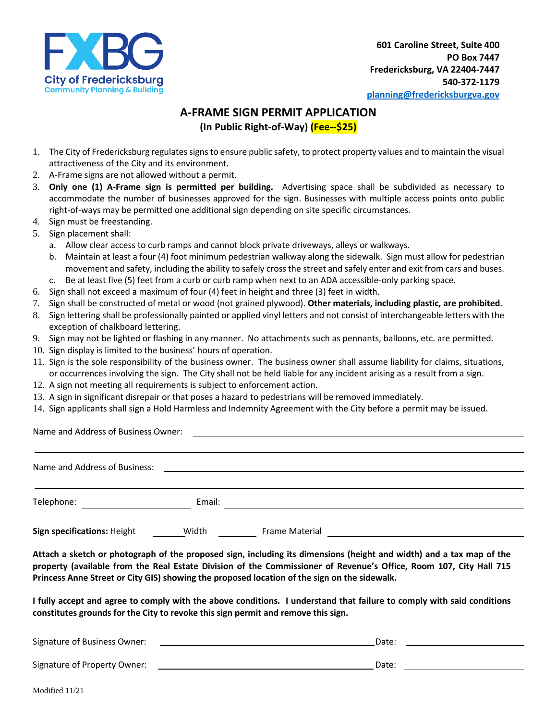

## **A-FRAME SIGN PERMIT APPLICATION (In Public Right-of-Way) (Fee--\$25)**

- 1. The City of Fredericksburg regulates signs to ensure public safety, to protect property values and to maintain the visual attractiveness of the City and its environment.
- 2. A-Frame signs are not allowed without a permit.
- 3. **Only one (1) A-Frame sign is permitted per building.** Advertising space shall be subdivided as necessary to accommodate the number of businesses approved for the sign. Businesses with multiple access points onto public right-of-ways may be permitted one additional sign depending on site specific circumstances.
- 4. Sign must be freestanding.
- 5. Sign placement shall:
	- a. Allow clear access to curb ramps and cannot block private driveways, alleys or walkways.
	- b. Maintain at least a four (4) foot minimum pedestrian walkway along the sidewalk. Sign must allow for pedestrian movement and safety, including the ability to safely cross the street and safely enter and exit from cars and buses.
	- c. Be at least five (5) feet from a curb or curb ramp when next to an ADA accessible-only parking space.
- 6. Sign shall not exceed a maximum of four (4) feet in height and three (3) feet in width.
- 7. Sign shall be constructed of metal or wood (not grained plywood). **Other materials, including plastic, are prohibited.**
- 8. Sign lettering shall be professionally painted or applied vinyl letters and not consist of interchangeable letters with the exception of chalkboard lettering.
- 9. Sign may not be lighted or flashing in any manner. No attachments such as pennants, balloons, etc. are permitted.
- 10. Sign display is limited to the business' hours of operation.
- 11. Sign is the sole responsibility of the business owner. The business owner shall assume liability for claims, situations, or occurrences involving the sign. The City shall not be held liable for any incident arising as a result from a sign.
- 12. A sign not meeting all requirements is subject to enforcement action.
- 13. A sign in significant disrepair or that poses a hazard to pedestrians will be removed immediately.
- 14. Sign applicants shall sign a Hold Harmless and Indemnity Agreement with the City before a permit may be issued.

Name and Address of Business Owner:

| Name and Address of Business: |        |                |  |
|-------------------------------|--------|----------------|--|
| Telephone:                    | Email: |                |  |
| Sign specifications: Height   | Width  | Frame Material |  |

**Attach a sketch or photograph of the proposed sign, including its dimensions (height and width) and a tax map of the property (available from the Real Estate Division of the Commissioner of Revenue's Office, Room 107, City Hall 715 Princess Anne Street or City GIS) showing the proposed location of the sign on the sidewalk.** 

**I fully accept and agree to comply with the above conditions. I understand that failure to comply with said conditions constitutes grounds for the City to revoke this sign permit and remove this sign.**

| Signature of Business Owner: | Date: |  |
|------------------------------|-------|--|
|                              |       |  |
| Signature of Property Owner: | Date: |  |
|                              |       |  |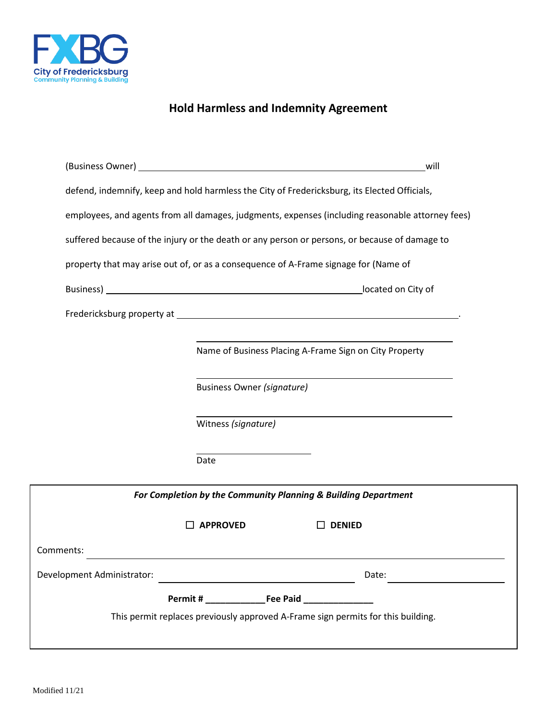

# **Hold Harmless and Indemnity Agreement**

| (Business Owner) and the contract of the contract of the contract of the contract of the contract of the contract of the contract of the contract of the contract of the contract of the contract of the contract of the contr |                                                                                              | will                                                                                                                                                                                                                          |  |  |  |  |  |  |
|--------------------------------------------------------------------------------------------------------------------------------------------------------------------------------------------------------------------------------|----------------------------------------------------------------------------------------------|-------------------------------------------------------------------------------------------------------------------------------------------------------------------------------------------------------------------------------|--|--|--|--|--|--|
|                                                                                                                                                                                                                                | defend, indemnify, keep and hold harmless the City of Fredericksburg, its Elected Officials, |                                                                                                                                                                                                                               |  |  |  |  |  |  |
| employees, and agents from all damages, judgments, expenses (including reasonable attorney fees)                                                                                                                               |                                                                                              |                                                                                                                                                                                                                               |  |  |  |  |  |  |
| suffered because of the injury or the death or any person or persons, or because of damage to                                                                                                                                  |                                                                                              |                                                                                                                                                                                                                               |  |  |  |  |  |  |
| property that may arise out of, or as a consequence of A-Frame signage for (Name of                                                                                                                                            |                                                                                              |                                                                                                                                                                                                                               |  |  |  |  |  |  |
|                                                                                                                                                                                                                                |                                                                                              | located on City of                                                                                                                                                                                                            |  |  |  |  |  |  |
|                                                                                                                                                                                                                                |                                                                                              | Fredericksburg property at the control of the control of the control of the control of the control of the control of the control of the control of the control of the control of the control of the control of the control of |  |  |  |  |  |  |
|                                                                                                                                                                                                                                |                                                                                              |                                                                                                                                                                                                                               |  |  |  |  |  |  |
|                                                                                                                                                                                                                                |                                                                                              | Name of Business Placing A-Frame Sign on City Property                                                                                                                                                                        |  |  |  |  |  |  |
|                                                                                                                                                                                                                                | <b>Business Owner (signature)</b>                                                            |                                                                                                                                                                                                                               |  |  |  |  |  |  |
|                                                                                                                                                                                                                                |                                                                                              |                                                                                                                                                                                                                               |  |  |  |  |  |  |
|                                                                                                                                                                                                                                | Witness (signature)                                                                          |                                                                                                                                                                                                                               |  |  |  |  |  |  |
|                                                                                                                                                                                                                                | Date                                                                                         |                                                                                                                                                                                                                               |  |  |  |  |  |  |
|                                                                                                                                                                                                                                |                                                                                              |                                                                                                                                                                                                                               |  |  |  |  |  |  |
|                                                                                                                                                                                                                                | For Completion by the Community Planning & Building Department                               |                                                                                                                                                                                                                               |  |  |  |  |  |  |
|                                                                                                                                                                                                                                | <b>APPROVED</b>                                                                              | <b>DENIED</b>                                                                                                                                                                                                                 |  |  |  |  |  |  |
| Comments:                                                                                                                                                                                                                      |                                                                                              |                                                                                                                                                                                                                               |  |  |  |  |  |  |
| Development Administrator:                                                                                                                                                                                                     | <u> 1989 - Johann Barbara, martxa alemaniar a</u>                                            | Date:                                                                                                                                                                                                                         |  |  |  |  |  |  |
|                                                                                                                                                                                                                                |                                                                                              |                                                                                                                                                                                                                               |  |  |  |  |  |  |
| This permit replaces previously approved A-Frame sign permits for this building.                                                                                                                                               |                                                                                              |                                                                                                                                                                                                                               |  |  |  |  |  |  |
|                                                                                                                                                                                                                                |                                                                                              |                                                                                                                                                                                                                               |  |  |  |  |  |  |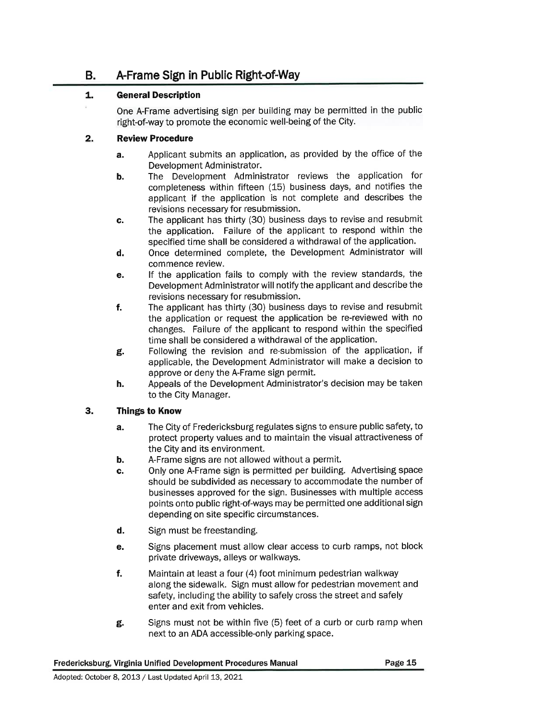### **B.** A-Frame Sign in Public Right-of-Way

#### $1.$ **General Description**

One A-Frame advertising sign per building may be permitted in the public right-of-way to promote the economic well-being of the City.

#### $2.$ **Review Procedure**

- Applicant submits an application, as provided by the office of the a. Development Administrator.
- The Development Administrator reviews the application for b. completeness within fifteen (15) business days, and notifies the applicant if the application is not complete and describes the revisions necessary for resubmission.
- The applicant has thirty (30) business days to revise and resubmit C. the application. Failure of the applicant to respond within the specified time shall be considered a withdrawal of the application.
- Once determined complete, the Development Administrator will d. commence review.
- If the application fails to comply with the review standards, the e. Development Administrator will notify the applicant and describe the revisions necessary for resubmission.
- $f_{\rm{r}}$ The applicant has thirty (30) business days to revise and resubmit the application or request the application be re-reviewed with no changes. Failure of the applicant to respond within the specified time shall be considered a withdrawal of the application.
- Following the revision and re-submission of the application, if g. applicable, the Development Administrator will make a decision to approve or deny the A-Frame sign permit.
- Appeals of the Development Administrator's decision may be taken h. to the City Manager.

#### 3. **Things to Know**

- The City of Fredericksburg regulates signs to ensure public safety, to a. protect property values and to maintain the visual attractiveness of the City and its environment.
- b. A-Frame signs are not allowed without a permit.
- Only one A-Frame sign is permitted per building. Advertising space c. should be subdivided as necessary to accommodate the number of businesses approved for the sign. Businesses with multiple access points onto public right-of-ways may be permitted one additional sign depending on site specific circumstances.
- d. Sign must be freestanding.
- Signs placement must allow clear access to curb ramps, not block е. private driveways, alleys or walkways.
- f. Maintain at least a four (4) foot minimum pedestrian walkway along the sidewalk. Sign must allow for pedestrian movement and safety, including the ability to safely cross the street and safely enter and exit from vehicles.
- Signs must not be within five (5) feet of a curb or curb ramp when g. next to an ADA accessible-only parking space.